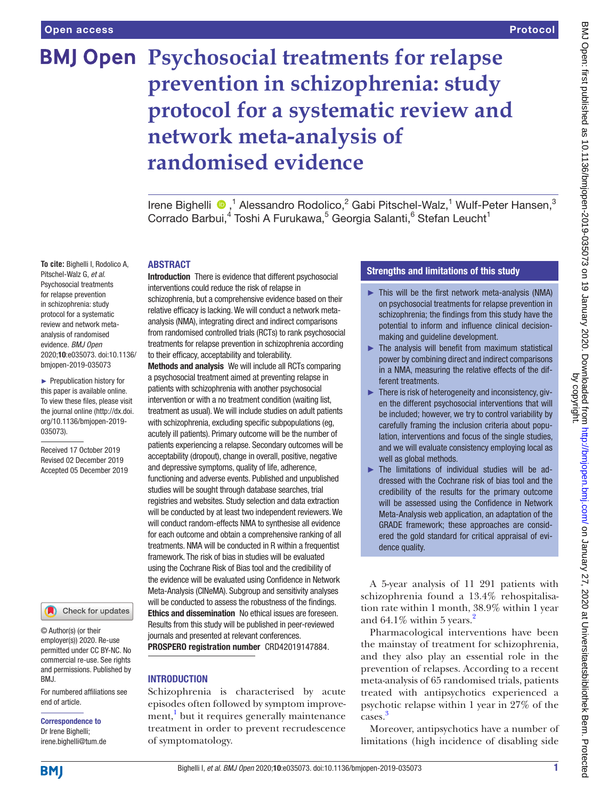# **BMJ Open Psychosocial treatments for relapse prevention in schizophrenia: study protocol for a systematic review and network meta-analysis of randomised evidence**

Irene Bighelli <sup>®</sup>,<sup>1</sup> Alessandro Rodolico,<sup>2</sup> Gabi Pitschel-Walz,<sup>1</sup> Wulf-Peter Hansen,<sup>3</sup> Corrado Barbui,<sup>4</sup> Toshi A Furukawa,<sup>5</sup> Georgia Salanti,<sup>6</sup> Stefan Leucht<sup>1</sup>

#### ABSTRACT

Introduction There is evidence that different psychosocial interventions could reduce the risk of relapse in schizophrenia, but a comprehensive evidence based on their relative efficacy is lacking. We will conduct a network metaanalysis (NMA), integrating direct and indirect comparisons from randomised controlled trials (RCTs) to rank psychosocial treatments for relapse prevention in schizophrenia according to their efficacy, acceptability and tolerability.

Methods and analysis We will include all RCTs comparing a psychosocial treatment aimed at preventing relapse in patients with schizophrenia with another psychosocial intervention or with a no treatment condition (waiting list, treatment as usual). We will include studies on adult patients with schizophrenia, excluding specific subpopulations (eg, acutely ill patients). Primary outcome will be the number of patients experiencing a relapse. Secondary outcomes will be acceptability (dropout), change in overall, positive, negative and depressive symptoms, quality of life, adherence, functioning and adverse events. Published and unpublished studies will be sought through database searches, trial registries and websites. Study selection and data extraction will be conducted by at least two independent reviewers. We will conduct random-effects NMA to synthesise all evidence for each outcome and obtain a comprehensive ranking of all treatments. NMA will be conducted in R within a frequentist framework. The risk of bias in studies will be evaluated using the Cochrane Risk of Bias tool and the credibility of the evidence will be evaluated using Confidence in Network Meta-Analysis (CINeMA). Subgroup and sensitivity analyses will be conducted to assess the robustness of the findings. Ethics and dissemination No ethical issues are foreseen. Results from this study will be published in peer-reviewed journals and presented at relevant conferences. PROSPERO registration number CRD42019147884.

#### **INTRODUCTION**

Schizophrenia is characterised by acute episodes often followed by symptom improvement,<sup>1</sup> but it requires generally maintenance treatment in order to prevent recrudescence of symptomatology.

#### Strengths and limitations of this study

- $\blacktriangleright$  This will be the first network meta-analysis (NMA) on psychosocial treatments for relapse prevention in schizophrenia; the findings from this study have the potential to inform and influence clinical decisionmaking and guideline development.
- $\blacktriangleright$  The analysis will benefit from maximum statistical power by combining direct and indirect comparisons in a NMA, measuring the relative effects of the different treatments.
- ► There is risk of heterogeneity and inconsistency, given the different psychosocial interventions that will be included; however, we try to control variability by carefully framing the inclusion criteria about population, interventions and focus of the single studies, and we will evaluate consistency employing local as well as global methods.
- ► The limitations of individual studies will be addressed with the Cochrane risk of bias tool and the credibility of the results for the primary outcome will be assessed using the Confidence in Network Meta-Analysis web application, an adaptation of the GRADE framework; these approaches are considered the gold standard for critical appraisal of evidence quality.

A 5-year analysis of 11 291 patients with schizophrenia found a 13.4% rehospitalisation rate within 1 month, 38.9% within 1 year and  $64.1\%$  within 5 years.<sup>2</sup>

Pharmacological interventions have been the mainstay of treatment for schizophrenia, and they also play an essential role in the prevention of relapses. According to a recent meta-analysis of 65 randomised trials, patients treated with antipsychotics experienced a psychotic relapse within 1 year in 27% of the cases. [3](#page-7-2)

Moreover, antipsychotics have a number of limitations (high incidence of disabling side

**To cite:** Bighelli I, Rodolico A, Pitschel-Walz G, *et al*. Psychosocial treatments for relapse prevention in schizophrenia: study protocol for a systematic review and network metaanalysis of randomised evidence. *BMJ Open* 2020;10:e035073. doi:10.1136/ bmjopen-2019-035073

► Prepublication history for this paper is available online. To view these files, please visit the journal online (http://dx.doi. org/10.1136/bmjopen-2019- 035073).

Received 17 October 2019 Revised 02 December 2019 Accepted 05 December 2019



© Author(s) (or their employer(s)) 2020. Re-use permitted under CC BY-NC. No commercial re-use. See rights and permissions. Published by BMJ.

For numbered affiliations see end of article.

Correspondence to Dr Irene Bighelli; irene.bighelli@tum.de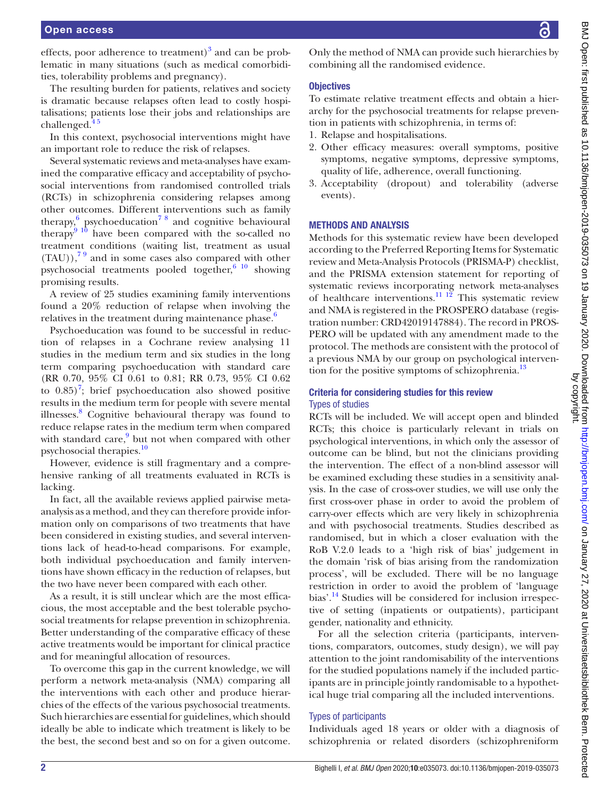The resulting burden for patients, relatives and society is dramatic because relapses often lead to costly hospitalisations; patients lose their jobs and relationships are challenged. $45$ 

In this context, psychosocial interventions might have an important role to reduce the risk of relapses.

Several systematic reviews and meta-analyses have examined the comparative efficacy and acceptability of psychosocial interventions from randomised controlled trials (RCTs) in schizophrenia considering relapses among other outcomes. Different interventions such as family therapy, $6$  psychoeducation<sup>78</sup> and cognitive behavioural therapy<sup>[9 10](#page-7-6)</sup> have been compared with the so-called no treatment conditions (waiting list, treatment as usual  $(TAU)$ ,<sup>79</sup> and in some cases also compared with other psychosocial treatments pooled together, $6\frac{10}{10}$  showing promising results.

A review of 25 studies examining family interventions found a 20% reduction of relapse when involving the relatives in the treatment during maintenance phase.<sup>[6](#page-7-4)</sup>

Psychoeducation was found to be successful in reduction of relapses in a Cochrane review analysing 11 studies in the medium term and six studies in the long term comparing psychoeducation with standard care (RR 0.70, 95% CI 0.61 to 0.81; RR 0.73, 95% CI 0.62 to  $0.85$ <sup>[7](#page-7-5)</sup>; brief psychoeducation also showed positive results in the medium term for people with severe mental illnesses.<sup>8</sup> Cognitive behavioural therapy was found to reduce relapse rates in the medium term when compared with standard care,<sup>[9](#page-7-6)</sup> but not when compared with other psychosocial therapies.<sup>[10](#page-7-8)</sup>

However, evidence is still fragmentary and a comprehensive ranking of all treatments evaluated in RCTs is lacking.

In fact, all the available reviews applied pairwise metaanalysis as a method, and they can therefore provide information only on comparisons of two treatments that have been considered in existing studies, and several interventions lack of head-to-head comparisons. For example, both individual psychoeducation and family interventions have shown efficacy in the reduction of relapses, but the two have never been compared with each other.

As a result, it is still unclear which are the most efficacious, the most acceptable and the best tolerable psychosocial treatments for relapse prevention in schizophrenia. Better understanding of the comparative efficacy of these active treatments would be important for clinical practice and for meaningful allocation of resources.

To overcome this gap in the current knowledge, we will perform a network meta-analysis (NMA) comparing all the interventions with each other and produce hierarchies of the effects of the various psychosocial treatments. Such hierarchies are essential for guidelines, which should ideally be able to indicate which treatment is likely to be the best, the second best and so on for a given outcome.

Only the method of NMA can provide such hierarchies by combining all the randomised evidence.

#### **Objectives**

To estimate relative treatment effects and obtain a hierarchy for the psychosocial treatments for relapse prevention in patients with schizophrenia, in terms of:

- 1. Relapse and hospitalisations.
- 2. Other efficacy measures: overall symptoms, positive symptoms, negative symptoms, depressive symptoms, quality of life, adherence, overall functioning.
- 3. Acceptability (dropout) and tolerability (adverse events).

#### Methods and analysis

Methods for this systematic review have been developed according to the Preferred Reporting Items for Systematic review and Meta-Analysis Protocols (PRISMA-P) checklist, and the PRISMA extension statement for reporting of systematic reviews incorporating network meta-analyses of healthcare interventions.<sup>11 12</sup> This systematic review and NMA is registered in the PROSPERO database (registration number: CRD42019147884). The record in PROS-PERO will be updated with any amendment made to the protocol. The methods are consistent with the protocol of a previous NMA by our group on psychological interven-tion for the positive symptoms of schizophrenia.<sup>[13](#page-7-10)</sup>

#### Criteria for considering studies for this review Types of studies

RCTs will be included. We will accept open and blinded RCTs; this choice is particularly relevant in trials on psychological interventions, in which only the assessor of outcome can be blind, but not the clinicians providing the intervention. The effect of a non-blind assessor will be examined excluding these studies in a sensitivity analysis. In the case of cross-over studies, we will use only the first cross-over phase in order to avoid the problem of carry-over effects which are very likely in schizophrenia and with psychosocial treatments. Studies described as randomised, but in which a closer evaluation with the RoB V.2.0 leads to a 'high risk of bias' judgement in the domain 'risk of bias arising from the randomization process', will be excluded. There will be no language restriction in order to avoid the problem of 'language bias'.<sup>14</sup> Studies will be considered for inclusion irrespective of setting (inpatients or outpatients), participant gender, nationality and ethnicity.

For all the selection criteria (participants, interventions, comparators, outcomes, study design), we will pay attention to the joint randomisability of the interventions for the studied populations namely if the included participants are in principle jointly randomisable to a hypothetical huge trial comparing all the included interventions.

# Types of participants

Individuals aged 18 years or older with a diagnosis of schizophrenia or related disorders (schizophreniform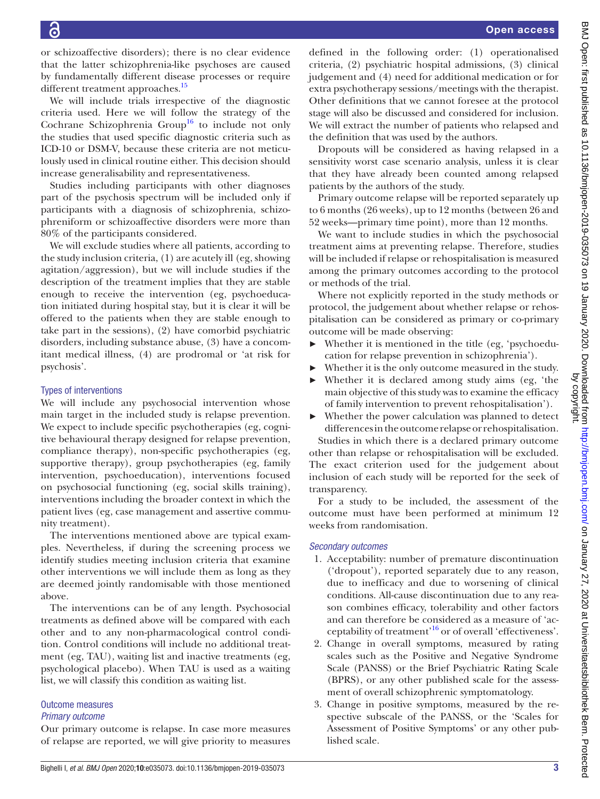or schizoaffective disorders); there is no clear evidence that the latter schizophrenia-like psychoses are caused by fundamentally different disease processes or require different treatment approaches.<sup>15</sup>

We will include trials irrespective of the diagnostic criteria used. Here we will follow the strategy of the Cochrane Schizophrenia Group<sup>16</sup> to include not only the studies that used specific diagnostic criteria such as ICD-10 or DSM-V, because these criteria are not meticulously used in clinical routine either. This decision should increase generalisability and representativeness.

Studies including participants with other diagnoses part of the psychosis spectrum will be included only if participants with a diagnosis of schizophrenia, schizophreniform or schizoaffective disorders were more than 80% of the participants considered.

We will exclude studies where all patients, according to the study inclusion criteria, (1) are acutely ill (eg, showing agitation/aggression), but we will include studies if the description of the treatment implies that they are stable enough to receive the intervention (eg, psychoeducation initiated during hospital stay, but it is clear it will be offered to the patients when they are stable enough to take part in the sessions), (2) have comorbid psychiatric disorders, including substance abuse, (3) have a concomitant medical illness, (4) are prodromal or 'at risk for psychosis'.

# Types of interventions

We will include any psychosocial intervention whose main target in the included study is relapse prevention. We expect to include specific psychotherapies (eg, cognitive behavioural therapy designed for relapse prevention, compliance therapy), non-specific psychotherapies (eg, supportive therapy), group psychotherapies (eg, family intervention, psychoeducation), interventions focused on psychosocial functioning (eg, social skills training), interventions including the broader context in which the patient lives (eg, case management and assertive community treatment).

The interventions mentioned above are typical examples. Nevertheless, if during the screening process we identify studies meeting inclusion criteria that examine other interventions we will include them as long as they are deemed jointly randomisable with those mentioned above.

The interventions can be of any length. Psychosocial treatments as defined above will be compared with each other and to any non-pharmacological control condition. Control conditions will include no additional treatment (eg, TAU), waiting list and inactive treatments (eg, psychological placebo). When TAU is used as a waiting list, we will classify this condition as waiting list.

# Outcome measures

#### *Primary outcome*

Our primary outcome is relapse. In case more measures of relapse are reported, we will give priority to measures

defined in the following order: (1) operationalised criteria, (2) psychiatric hospital admissions, (3) clinical judgement and (4) need for additional medication or for extra psychotherapy sessions/meetings with the therapist. Other definitions that we cannot foresee at the protocol stage will also be discussed and considered for inclusion. We will extract the number of patients who relapsed and the definition that was used by the authors.

Dropouts will be considered as having relapsed in a sensitivity worst case scenario analysis, unless it is clear that they have already been counted among relapsed patients by the authors of the study.

Primary outcome relapse will be reported separately up to 6 months (26 weeks), up to 12 months (between 26 and 52 weeks—primary time point), more than 12 months.

We want to include studies in which the psychosocial treatment aims at preventing relapse. Therefore, studies will be included if relapse or rehospitalisation is measured among the primary outcomes according to the protocol or methods of the trial.

Where not explicitly reported in the study methods or protocol, the judgement about whether relapse or rehospitalisation can be considered as primary or co-primary outcome will be made observing:

- ► Whether it is mentioned in the title (eg, 'psychoeducation for relapse prevention in schizophrenia').
- Whether it is the only outcome measured in the study.
- ► Whether it is declared among study aims (eg, 'the main objective of this study was to examine the efficacy of family intervention to prevent rehospitalisation').

► Whether the power calculation was planned to detect differences in the outcome relapse or rehospitalisation. Studies in which there is a declared primary outcome other than relapse or rehospitalisation will be excluded. The exact criterion used for the judgement about inclusion of each study will be reported for the seek of transparency.

For a study to be included, the assessment of the outcome must have been performed at minimum 12 weeks from randomisation.

#### *Secondary outcomes*

- 1. Acceptability: number of premature discontinuation ('dropout'), reported separately due to any reason, due to inefficacy and due to worsening of clinical conditions. All-cause discontinuation due to any reason combines efficacy, tolerability and other factors and can therefore be considered as a measure of 'acceptability of treatment'[16](#page-7-13) or of overall 'effectiveness'.
- 2. Change in overall symptoms, measured by rating scales such as the Positive and Negative Syndrome Scale (PANSS) or the Brief Psychiatric Rating Scale (BPRS), or any other published scale for the assessment of overall schizophrenic symptomatology.
- 3. Change in positive symptoms, measured by the respective subscale of the PANSS, or the 'Scales for Assessment of Positive Symptoms' or any other published scale.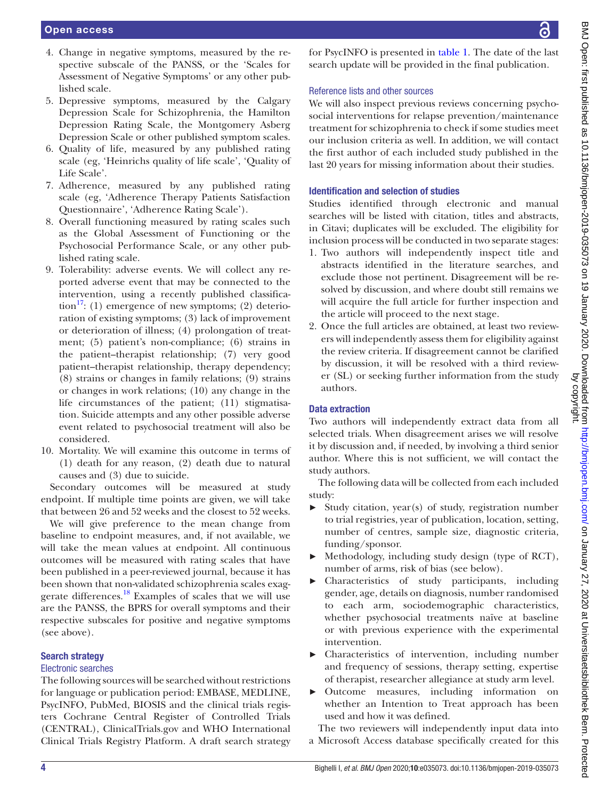- 4. Change in negative symptoms, measured by the respective subscale of the PANSS, or the 'Scales for Assessment of Negative Symptoms' or any other published scale.
- 5. Depressive symptoms, measured by the Calgary Depression Scale for Schizophrenia, the Hamilton Depression Rating Scale, the Montgomery Asberg Depression Scale or other published symptom scales.
- 6. Quality of life, measured by any published rating scale (eg, 'Heinrichs quality of life scale', 'Quality of Life Scale'.
- 7. Adherence, measured by any published rating scale (eg, 'Adherence Therapy Patients Satisfaction Questionnaire', 'Adherence Rating Scale').
- 8. Overall functioning measured by rating scales such as the Global Assessment of Functioning or the Psychosocial Performance Scale, or any other published rating scale.
- 9. Tolerability: adverse events. We will collect any reported adverse event that may be connected to the intervention, using a recently published classification<sup>17</sup>: (1) emergence of new symptoms; (2) deterioration of existing symptoms; (3) lack of improvement or deterioration of illness; (4) prolongation of treatment; (5) patient's non-compliance; (6) strains in the patient–therapist relationship; (7) very good patient–therapist relationship, therapy dependency; (8) strains or changes in family relations; (9) strains or changes in work relations; (10) any change in the life circumstances of the patient; (11) stigmatisation. Suicide attempts and any other possible adverse event related to psychosocial treatment will also be considered.
- 10. Mortality. We will examine this outcome in terms of (1) death for any reason, (2) death due to natural causes and (3) due to suicide.

Secondary outcomes will be measured at study endpoint. If multiple time points are given, we will take that between 26 and 52 weeks and the closest to 52 weeks.

We will give preference to the mean change from baseline to endpoint measures, and, if not available, we will take the mean values at endpoint. All continuous outcomes will be measured with rating scales that have been published in a peer-reviewed journal, because it has been shown that non-validated schizophrenia scales exaggerate differences[.18](#page-7-15) Examples of scales that we will use are the PANSS, the BPRS for overall symptoms and their respective subscales for positive and negative symptoms (see above).

#### Search strategy

#### Electronic searches

The following sources will be searched without restrictions for language or publication period: EMBASE, MEDLINE, PsycINFO, PubMed, BIOSIS and the clinical trials registers Cochrane Central Register of Controlled Trials (CENTRAL), ClinicalTrials.gov and WHO International Clinical Trials Registry Platform. A draft search strategy

for PsycINFO is presented in [table](#page-4-0) 1. The date of the last search update will be provided in the final publication.

#### Reference lists and other sources

We will also inspect previous reviews concerning psychosocial interventions for relapse prevention/maintenance treatment for schizophrenia to check if some studies meet our inclusion criteria as well. In addition, we will contact the first author of each included study published in the last 20 years for missing information about their studies.

#### Identification and selection of studies

Studies identified through electronic and manual searches will be listed with citation, titles and abstracts, in Citavi; duplicates will be excluded. The eligibility for inclusion process will be conducted in two separate stages:

- 1. Two authors will independently inspect title and abstracts identified in the literature searches, and exclude those not pertinent. Disagreement will be resolved by discussion, and where doubt still remains we will acquire the full article for further inspection and the article will proceed to the next stage.
- 2. Once the full articles are obtained, at least two reviewers will independently assess them for eligibility against the review criteria. If disagreement cannot be clarified by discussion, it will be resolved with a third reviewer (SL) or seeking further information from the study authors.

#### Data extraction

Two authors will independently extract data from all selected trials. When disagreement arises we will resolve it by discussion and, if needed, by involving a third senior author. Where this is not sufficient, we will contact the study authors.

The following data will be collected from each included study:

- ► Study citation, year(s) of study, registration number to trial registries, year of publication, location, setting, number of centres, sample size, diagnostic criteria, funding/sponsor.
- ► Methodology, including study design (type of RCT), number of arms, risk of bias (see below).
- ► Characteristics of study participants, including gender, age, details on diagnosis, number randomised to each arm, sociodemographic characteristics, whether psychosocial treatments naïve at baseline or with previous experience with the experimental intervention.
- Characteristics of intervention, including number and frequency of sessions, therapy setting, expertise of therapist, researcher allegiance at study arm level.
- ► Outcome measures, including information on whether an Intention to Treat approach has been used and how it was defined.

The two reviewers will independently input data into

a Microsoft Access database specifically created for this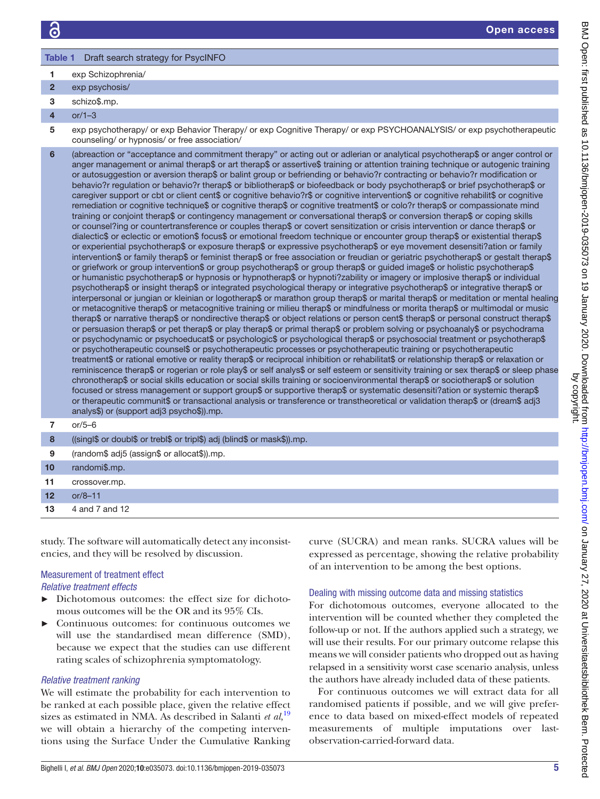<span id="page-4-0"></span>

| Draft search strategy for PsycINFO<br>Table 1 |
|-----------------------------------------------|
|-----------------------------------------------|

1 exp Schizophrenia/

- 2 exp psychosis/
- 3 schizo\$.mp.
- 4  $or/1-3$

5 exp psychotherapy/ or exp Behavior Therapy/ or exp Cognitive Therapy/ or exp PSYCHOANALYSIS/ or exp psychotherapeutic counseling/ or hypnosis/ or free association/

6 (abreaction or "acceptance and commitment therapy" or acting out or adlerian or analytical psychotherap\$ or anger control or anger management or animal therap\$ or art therap\$ or assertive\$ training or attention training technique or autogenic training or autosuggestion or aversion therap\$ or balint group or befriending or behavio?r contracting or behavio?r modification or behavio?r regulation or behavio?r therap\$ or bibliotherap\$ or biofeedback or body psychotherap\$ or brief psychotherap\$ or caregiver support or cbt or client cent\$ or cognitive behavio?r\$ or cognitive intervention\$ or cognitive rehabilit\$ or cognitive remediation or cognitive technique\$ or cognitive therap\$ or cognitive treatment\$ or colo?r therap\$ or compassionate mind training or conjoint therap\$ or contingency management or conversational therap\$ or conversion therap\$ or coping skills or counsel?ing or countertransference or couples therap\$ or covert sensitization or crisis intervention or dance therap\$ or dialectic\$ or eclectic or emotion\$ focus\$ or emotional freedom technique or encounter group therap\$ or existential therap\$ or experiential psychotherap\$ or exposure therap\$ or expressive psychotherap\$ or eye movement desensiti?ation or family intervention\$ or family therap\$ or feminist therap\$ or free association or freudian or geriatric psychotherap\$ or gestalt therap\$ or griefwork or group intervention\$ or group psychotherap\$ or group therap\$ or guided image\$ or holistic psychotherap\$ or humanistic psychotherap\$ or hypnosis or hypnotherap\$ or hypnoti?zability or imagery or implosive therap\$ or individual psychotherap\$ or insight therap\$ or integrated psychological therapy or integrative psychotherap\$ or integrative therap\$ or interpersonal or jungian or kleinian or logotherap\$ or marathon group therap\$ or marital therap\$ or meditation or mental healing or metacognitive therap\$ or metacognitive training or milieu therap\$ or mindfulness or morita therap\$ or multimodal or music therap\$ or narrative therap\$ or nondirective therap\$ or object relations or person cent\$ therap\$ or personal construct therap\$ or persuasion therap\$ or pet therap\$ or play therap\$ or primal therap\$ or problem solving or psychoanaly\$ or psychodrama or psychodynamic or psychoeducat\$ or psychologic\$ or psychological therap\$ or psychosocial treatment or psychotherap\$ or psychotherapeutic counsel\$ or psychotherapeutic processes or psychotherapeutic training or psychotherapeutic treatment\$ or rational emotive or reality therap\$ or reciprocal inhibition or rehabilitat\$ or relationship therap\$ or relaxation or reminiscence therap\$ or rogerian or role play\$ or self analys\$ or self esteem or sensitivity training or sex therap\$ or sleep phase chronotherap\$ or social skills education or social skills training or socioenvironmental therap\$ or sociotherap\$ or solution focused or stress management or support group\$ or supportive therap\$ or systematic desensiti?ation or systemic therap\$ or therapeutic communit\$ or transactional analysis or transference or transtheoretical or validation therap\$ or (dream\$ adj3 analys\$) or (support adj3 psycho\$)).mp. 7 or/5–6

| 8  | ((sing)\$ or doubl\$ or trebl\$ or tripl\$) adj (blind\$ or mask\$)).mp. |
|----|--------------------------------------------------------------------------|
| 9  | (random\$ adj5 (assign\$ or allocat\$)).mp.                              |
| 10 | randomi\$.mp.                                                            |
| 11 | crossover.mp.                                                            |
| 12 | $or/8 - 11$                                                              |
| 13 | 4 and 7 and 12                                                           |

study. The software will automatically detect any inconsistencies, and they will be resolved by discussion.

#### Measurement of treatment effect *Relative treatment effects*

- ► Dichotomous outcomes: the effect size for dichotomous outcomes will be the OR and its 95% CIs.
- Continuous outcomes: for continuous outcomes we will use the standardised mean difference (SMD), because we expect that the studies can use different rating scales of schizophrenia symptomatology.

#### *Relative treatment ranking*

We will estimate the probability for each intervention to be ranked at each possible place, given the relative effect sizes as estimated in NMA. As described in Salanti *et al,*[19](#page-7-16) we will obtain a hierarchy of the competing interventions using the Surface Under the Cumulative Ranking curve (SUCRA) and mean ranks. SUCRA values will be expressed as percentage, showing the relative probability of an intervention to be among the best options.

# Dealing with missing outcome data and missing statistics

For dichotomous outcomes, everyone allocated to the intervention will be counted whether they completed the follow-up or not. If the authors applied such a strategy, we will use their results. For our primary outcome relapse this means we will consider patients who dropped out as having relapsed in a sensitivity worst case scenario analysis, unless the authors have already included data of these patients.

For continuous outcomes we will extract data for all randomised patients if possible, and we will give preference to data based on mixed-effect models of repeated measurements of multiple imputations over lastobservation-carried-forward data.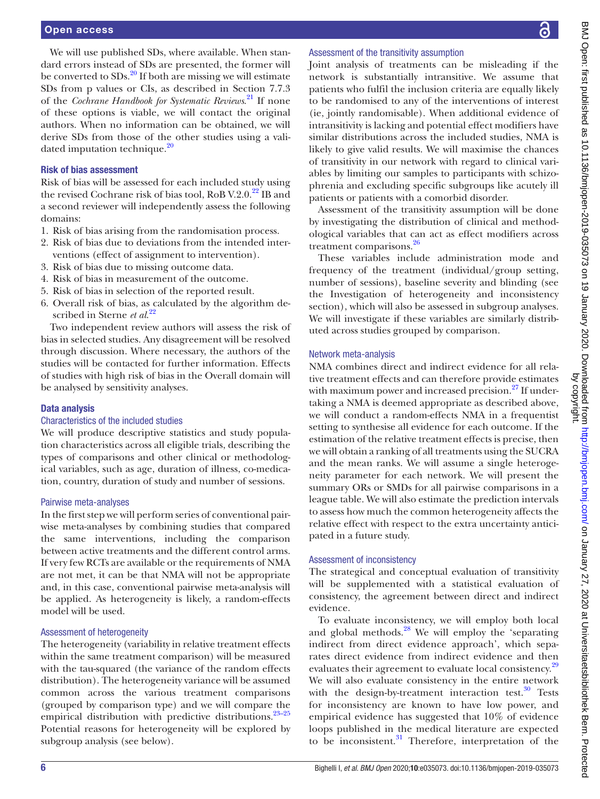We will use published SDs, where available. When standard errors instead of SDs are presented, the former will be converted to  $SDs<sup>20</sup>$  If both are missing we will estimate SDs from p values or CIs, as described in Section 7.7.3 of the *Cochrane Handbook for Systematic Reviews*. [21](#page-7-18) If none of these options is viable, we will contact the original authors. When no information can be obtained, we will derive SDs from those of the other studies using a validated imputation technique. $20$ 

#### Risk of bias assessment

Risk of bias will be assessed for each included study using the revised Cochrane risk of bias tool, RoB V.2.0.<sup>22</sup> IB and a second reviewer will independently assess the following domains:

- 1. Risk of bias arising from the randomisation process.
- 2. Risk of bias due to deviations from the intended interventions (effect of assignment to intervention).
- 3. Risk of bias due to missing outcome data.
- 4. Risk of bias in measurement of the outcome.
- 5. Risk of bias in selection of the reported result.
- 6. Overall risk of bias, as calculated by the algorithm described in Sterne *et al*. [22](#page-7-19)

Two independent review authors will assess the risk of bias in selected studies. Any disagreement will be resolved through discussion. Where necessary, the authors of the studies will be contacted for further information. Effects of studies with high risk of bias in the Overall domain will be analysed by sensitivity analyses.

#### Data analysis

#### Characteristics of the included studies

We will produce descriptive statistics and study population characteristics across all eligible trials, describing the types of comparisons and other clinical or methodological variables, such as age, duration of illness, co-medication, country, duration of study and number of sessions.

#### Pairwise meta-analyses

In the first step we will perform series of conventional pairwise meta-analyses by combining studies that compared the same interventions, including the comparison between active treatments and the different control arms. If very few RCTs are available or the requirements of NMA are not met, it can be that NMA will not be appropriate and, in this case, conventional pairwise meta-analysis will be applied. As heterogeneity is likely, a random-effects model will be used.

#### Assessment of heterogeneity

The heterogeneity (variability in relative treatment effects within the same treatment comparison) will be measured with the tau-squared (the variance of the random effects distribution). The heterogeneity variance will be assumed common across the various treatment comparisons (grouped by comparison type) and we will compare the empirical distribution with predictive distributions.<sup>23-25</sup> Potential reasons for heterogeneity will be explored by subgroup analysis (see below).

# BMJ Open: first published as 10.1136/bmjopen-2019-035073 on 19 January 2020. Downloaded from http://bmjopen.bmj.com/ on January 27, 2020 at Universitaetsbibliothek Bern. Protected<br>by copyright. BMJ Open: first published as 10.1136/bmjopen-2019-035073 on 19 January 2020. Downloaded from <http://bmjopen.bmj.com/> on January 27, 2020 at Universitaetsbibliothek Bern. Protected by copyright.

# Assessment of the transitivity assumption

Joint analysis of treatments can be misleading if the network is substantially intransitive. We assume that patients who fulfil the inclusion criteria are equally likely to be randomised to any of the interventions of interest (ie, jointly randomisable). When additional evidence of intransitivity is lacking and potential effect modifiers have similar distributions across the included studies, NMA is likely to give valid results. We will maximise the chances of transitivity in our network with regard to clinical variables by limiting our samples to participants with schizophrenia and excluding specific subgroups like acutely ill patients or patients with a comorbid disorder.

Assessment of the transitivity assumption will be done by investigating the distribution of clinical and methodological variables that can act as effect modifiers across treatment comparisons.<sup>26</sup>

These variables include administration mode and frequency of the treatment (individual/group setting, number of sessions), baseline severity and blinding (see the Investigation of heterogeneity and inconsistency section), which will also be assessed in subgroup analyses. We will investigate if these variables are similarly distributed across studies grouped by comparison.

#### Network meta-analysis

NMA combines direct and indirect evidence for all relative treatment effects and can therefore provide estimates with maximum power and increased precision.<sup>27</sup> If undertaking a NMA is deemed appropriate as described above, we will conduct a random-effects NMA in a frequentist setting to synthesise all evidence for each outcome. If the estimation of the relative treatment effects is precise, then we will obtain a ranking of all treatments using the SUCRA and the mean ranks. We will assume a single heterogeneity parameter for each network. We will present the summary ORs or SMDs for all pairwise comparisons in a league table. We will also estimate the prediction intervals to assess how much the common heterogeneity affects the relative effect with respect to the extra uncertainty anticipated in a future study.

#### Assessment of inconsistency

The strategical and conceptual evaluation of transitivity will be supplemented with a statistical evaluation of consistency, the agreement between direct and indirect evidence.

To evaluate inconsistency, we will employ both local and global methods. $28$  We will employ the 'separating indirect from direct evidence approach', which separates direct evidence from indirect evidence and then evaluates their agreement to evaluate local consistency.<sup>[29](#page-7-24)</sup> We will also evaluate consistency in the entire network with the design-by-treatment interaction test. $30$  Tests for inconsistency are known to have low power, and empirical evidence has suggested that 10% of evidence loops published in the medical literature are expected to be inconsistent.<sup>[31](#page-7-26)</sup> Therefore, interpretation of the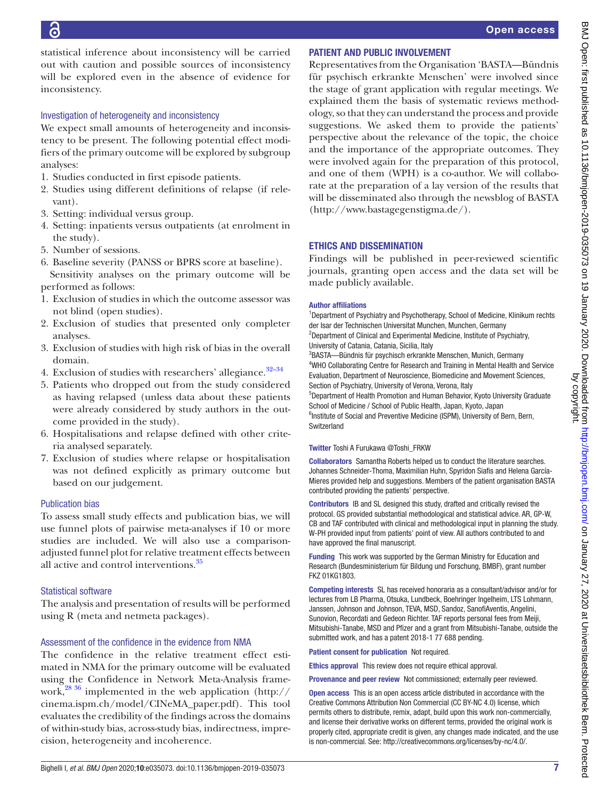statistical inference about inconsistency will be carried out with caution and possible sources of inconsistency will be explored even in the absence of evidence for inconsistency.

# Investigation of heterogeneity and inconsistency

We expect small amounts of heterogeneity and inconsistency to be present. The following potential effect modifiers of the primary outcome will be explored by subgroup analyses:

- 1. Studies conducted in first episode patients.
- 2. Studies using different definitions of relapse (if relevant).
- 3. Setting: individual versus group.
- 4. Setting: inpatients versus outpatients (at enrolment in the study).
- 5. Number of sessions.

6. Baseline severity (PANSS or BPRS score at baseline). Sensitivity analyses on the primary outcome will be performed as follows:

- 1. Exclusion of studies in which the outcome assessor was not blind (open studies).
- 2. Exclusion of studies that presented only completer analyses.
- 3. Exclusion of studies with high risk of bias in the overall domain.
- 4. Exclusion of studies with researchers' allegiance. $32-34$
- 5. Patients who dropped out from the study considered as having relapsed (unless data about these patients were already considered by study authors in the outcome provided in the study).
- 6. Hospitalisations and relapse defined with other criteria analysed separately.
- 7. Exclusion of studies where relapse or hospitalisation was not defined explicitly as primary outcome but based on our judgement.

# Publication bias

To assess small study effects and publication bias, we will use funnel plots of pairwise meta-analyses if 10 or more studies are included. We will also use a comparisonadjusted funnel plot for relative treatment effects between all active and control interventions.<sup>[35](#page-7-28)</sup>

# Statistical software

The analysis and presentation of results will be performed using R (meta and netmeta packages).

# Assessment of the confidence in the evidence from NMA

The confidence in the relative treatment effect estimated in NMA for the primary outcome will be evaluated using the Confidence in Network Meta-Analysis framework, $^{28\,36}$  implemented in the web application [\(http://](http://cinema.ispm.ch/model/CINeMA_paper.pdf) [cinema.ispm.ch/model/CINeMA\\_paper.pdf\)](http://cinema.ispm.ch/model/CINeMA_paper.pdf). This tool evaluates the credibility of the findings across the domains of within-study bias, across-study bias, indirectness, imprecision, heterogeneity and incoherence.

# PATIENT AND PUBLIC INVOLVEMENT

Representatives from the Organisation 'BASTA—Bündnis für psychisch erkrankte Menschen' were involved since the stage of grant application with regular meetings. We explained them the basis of systematic reviews methodology, so that they can understand the process and provide suggestions. We asked them to provide the patients' perspective about the relevance of the topic, the choice and the importance of the appropriate outcomes. They were involved again for the preparation of this protocol, and one of them (WPH) is a co-author. We will collaborate at the preparation of a lay version of the results that will be disseminated also through the newsblog of BASTA [\(http://www.bastagegenstigma.de/\)](http://www.bastagegenstigma.de/).

# Ethics and dissemination

Findings will be published in peer-reviewed scientific journals, granting open access and the data set will be made publicly available.

#### Author affiliations

<sup>1</sup>Department of Psychiatry and Psychotherapy, School of Medicine, Klinikum rechts der Isar der Technischen Universitat Munchen, Munchen, Germany <sup>2</sup>Department of Clinical and Experimental Medicine, Institute of Psychiatry, University of Catania, Catania, Sicilia, Italy

3 BASTA—Bündnis für psychisch erkrankte Menschen, Munich, Germany 4 WHO Collaborating Centre for Research and Training in Mental Health and Service Evaluation, Department of Neuroscience, Biomedicine and Movement Sciences, Section of Psychiatry, University of Verona, Verona, Italy

5 Department of Health Promotion and Human Behavior, Kyoto University Graduate School of Medicine / School of Public Health, Japan, Kyoto, Japan <sup>6</sup>Institute of Social and Preventive Medicine (ISPM), University of Bern, Bern, Switzerland

#### Twitter Toshi A Furukawa [@Toshi\\_FRKW](https://twitter.com/Toshi_FRKW)

Collaborators Samantha Roberts helped us to conduct the literature searches. Johannes Schneider-Thoma, Maximilian Huhn, Spyridon Siafis and Helena García-Mieres provided help and suggestions. Members of the patient organisation BASTA contributed providing the patients' perspective.

Contributors IB and SL designed this study, drafted and critically revised the protocol. GS provided substantial methodological and statistical advice. AR, GP-W, CB and TAF contributed with clinical and methodological input in planning the study. W-PH provided input from patients' point of view. All authors contributed to and have approved the final manuscript.

Funding This work was supported by the German Ministry for Education and Research (Bundesministerium für Bildung und Forschung, BMBF), grant number FKZ 01KG1803.

Competing interests SL has received honoraria as a consultant/advisor and/or for lectures from LB Pharma, Otsuka, Lundbeck, Boehringer Ingelheim, LTS Lohmann, Janssen, Johnson and Johnson, TEVA, MSD, Sandoz, SanofiAventis, Angelini, Sunovion, Recordati and Gedeon Richter. TAF reports personal fees from Meiji, Mitsubishi-Tanabe, MSD and Pfizer and a grant from Mitsubishi-Tanabe, outside the submitted work, and has a patent 2018-1 77 688 pending.

Patient consent for publication Not required.

Ethics approval This review does not require ethical approval.

Provenance and peer review Not commissioned; externally peer reviewed.

Open access This is an open access article distributed in accordance with the Creative Commons Attribution Non Commercial (CC BY-NC 4.0) license, which permits others to distribute, remix, adapt, build upon this work non-commercially, and license their derivative works on different terms, provided the original work is properly cited, appropriate credit is given, any changes made indicated, and the use is non-commercial. See: [http://creativecommons.org/licenses/by-nc/4.0/.](http://creativecommons.org/licenses/by-nc/4.0/)